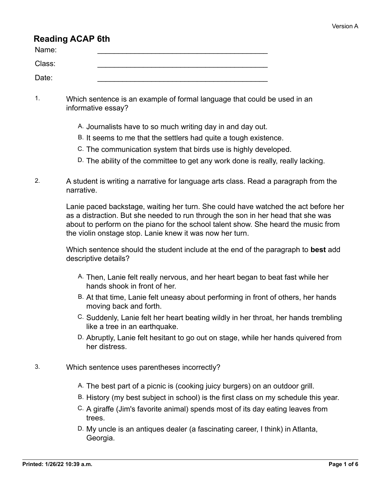# **Reading ACAP 6th**

| Name:  |  |
|--------|--|
| Class: |  |
| Date:  |  |

- 1. Which sentence is an example of formal language that could be used in an informative essay?
	- A. Journalists have to so much writing day in and day out.
	- B. It seems to me that the settlers had quite a tough existence.
	- C. The communication system that birds use is highly developed.
	- D. The ability of the committee to get any work done is really, really lacking.
- 2. A student is writing a narrative for language arts class. Read a paragraph from the narrative.

Lanie paced backstage, waiting her turn. She could have watched the act before her as a distraction. But she needed to run through the son in her head that she was about to perform on the piano for the school talent show. She heard the music from the violin onstage stop. Lanie knew it was now her turn.

Which sentence should the student include at the end of the paragraph to **best** add descriptive details?

- A. Then, Lanie felt really nervous, and her heart began to beat fast while her hands shook in front of her.
- B. At that time, Lanie felt uneasy about performing in front of others, her hands moving back and forth.
- C. Suddenly, Lanie felt her heart beating wildly in her throat, her hands trembling like a tree in an earthquake.
- D. Abruptly, Lanie felt hesitant to go out on stage, while her hands quivered from her distress.
- 3. Which sentence uses parentheses incorrectly?
	- A. The best part of a picnic is (cooking juicy burgers) on an outdoor grill.
	- B. History (my best subject in school) is the first class on my schedule this year.
	- C. A giraffe (Jim's favorite animal) spends most of its day eating leaves from trees.
	- D. My uncle is an antiques dealer (a fascinating career, I think) in Atlanta, Georgia.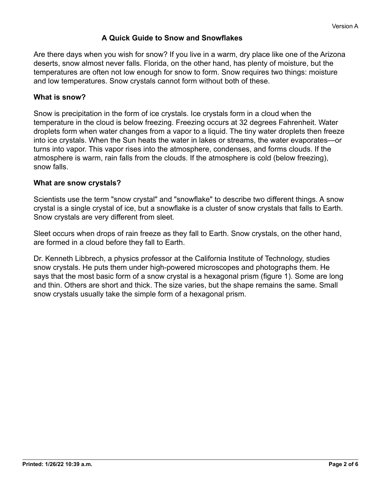## **A Quick Guide to Snow and Snowflakes**

Are there days when you wish for snow? If you live in a warm, dry place like one of the Arizona deserts, snow almost never falls. Florida, on the other hand, has plenty of moisture, but the temperatures are often not low enough for snow to form. Snow requires two things: moisture and low temperatures. Snow crystals cannot form without both of these.

#### **What is snow?**

Snow is precipitation in the form of ice crystals. Ice crystals form in a cloud when the temperature in the cloud is below freezing. Freezing occurs at 32 degrees Fahrenheit. Water droplets form when water changes from a vapor to a liquid. The tiny water droplets then freeze into ice crystals. When the Sun heats the water in lakes or streams, the water evaporates—or turns into vapor. This vapor rises into the atmosphere, condenses, and forms clouds. If the atmosphere is warm, rain falls from the clouds. If the atmosphere is cold (below freezing), snow falls.

#### **What are snow crystals?**

Scientists use the term "snow crystal" and "snowflake" to describe two different things. A snow crystal is a single crystal of ice, but a snowflake is a cluster of snow crystals that falls to Earth. Snow crystals are very different from sleet.

Sleet occurs when drops of rain freeze as they fall to Earth. Snow crystals, on the other hand, are formed in a cloud before they fall to Earth.

Dr. Kenneth Libbrech, a physics professor at the California Institute of Technology, studies snow crystals. He puts them under high-powered microscopes and photographs them. He says that the most basic form of a snow crystal is a hexagonal prism (figure 1). Some are long and thin. Others are short and thick. The size varies, but the shape remains the same. Small snow crystals usually take the simple form of a hexagonal prism.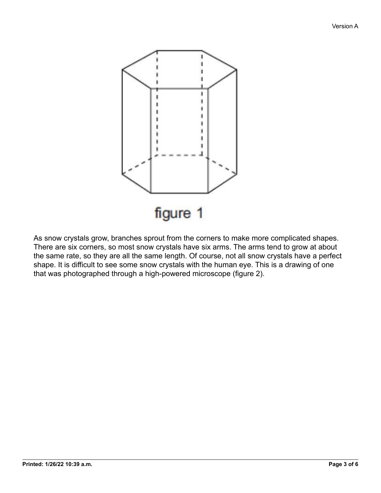

As snow crystals grow, branches sprout from the corners to make more complicated shapes. There are six corners, so most snow crystals have six arms. The arms tend to grow at about the same rate, so they are all the same length. Of course, not all snow crystals have a perfect shape. It is difficult to see some snow crystals with the human eye. This is a drawing of one that was photographed through a high-powered microscope (figure 2).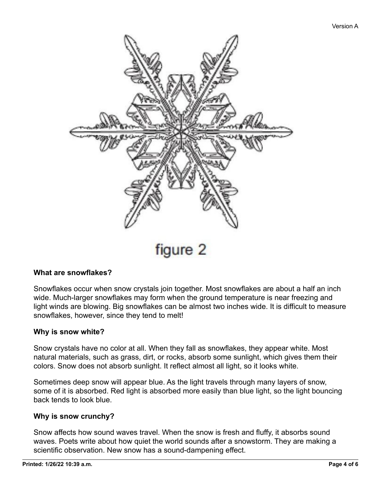

figure 2

### **What are snowflakes?**

Snowflakes occur when snow crystals join together. Most snowflakes are about a half an inch wide. Much-larger snowflakes may form when the ground temperature is near freezing and light winds are blowing. Big snowflakes can be almost two inches wide. It is difficult to measure snowflakes, however, since they tend to melt!

#### **Why is snow white?**

Snow crystals have no color at all. When they fall as snowflakes, they appear white. Most natural materials, such as grass, dirt, or rocks, absorb some sunlight, which gives them their colors. Snow does not absorb sunlight. It reflect almost all light, so it looks white.

Sometimes deep snow will appear blue. As the light travels through many layers of snow, some of it is absorbed. Red light is absorbed more easily than blue light, so the light bouncing back tends to look blue.

#### **Why is snow crunchy?**

Snow affects how sound waves travel. When the snow is fresh and fluffy, it absorbs sound waves. Poets write about how quiet the world sounds after a snowstorm. They are making a scientific observation. New snow has a sound-dampening effect.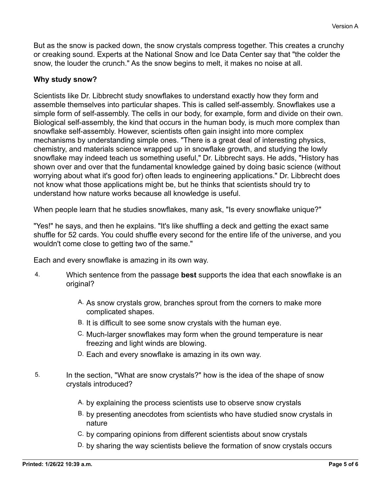But as the snow is packed down, the snow crystals compress together. This creates a crunchy or creaking sound. Experts at the National Snow and Ice Data Center say that "the colder the snow, the louder the crunch." As the snow begins to melt, it makes no noise at all.

## **Why study snow?**

Scientists like Dr. Libbrecht study snowflakes to understand exactly how they form and assemble themselves into particular shapes. This is called self-assembly. Snowflakes use a simple form of self-assembly. The cells in our body, for example, form and divide on their own. Biological self-assembly, the kind that occurs in the human body, is much more complex than snowflake self-assembly. However, scientists often gain insight into more complex mechanisms by understanding simple ones. "There is a great deal of interesting physics, chemistry, and materials science wrapped up in snowflake growth, and studying the lowly snowflake may indeed teach us something useful," Dr. Libbrecht says. He adds, "History has shown over and over that the fundamental knowledge gained by doing basic science (without worrying about what it's good for) often leads to engineering applications." Dr. Libbrecht does not know what those applications might be, but he thinks that scientists should try to understand how nature works because all knowledge is useful.

When people learn that he studies snowflakes, many ask, "Is every snowflake unique?"

"Yes!" he says, and then he explains. "It's like shuffling a deck and getting the exact same shuffle for 52 cards. You could shuffle every second for the entire life of the universe, and you wouldn't come close to getting two of the same."

Each and every snowflake is amazing in its own way.

- 4. Which sentence from the passage **best** supports the idea that each snowflake is an original?
	- A. As snow crystals grow, branches sprout from the corners to make more complicated shapes.
	- B. It is difficult to see some snow crystals with the human eye.
	- C. Much-larger snowflakes may form when the ground temperature is near freezing and light winds are blowing.
	- D. Each and every snowflake is amazing in its own way.
- 5. In the section, "What are snow crystals?" how is the idea of the shape of snow crystals introduced?
	- A. by explaining the process scientists use to observe snow crystals
	- B. by presenting anecdotes from scientists who have studied snow crystals in nature
	- C. by comparing opinions from different scientists about snow crystals
	- D. by sharing the way scientists believe the formation of snow crystals occurs